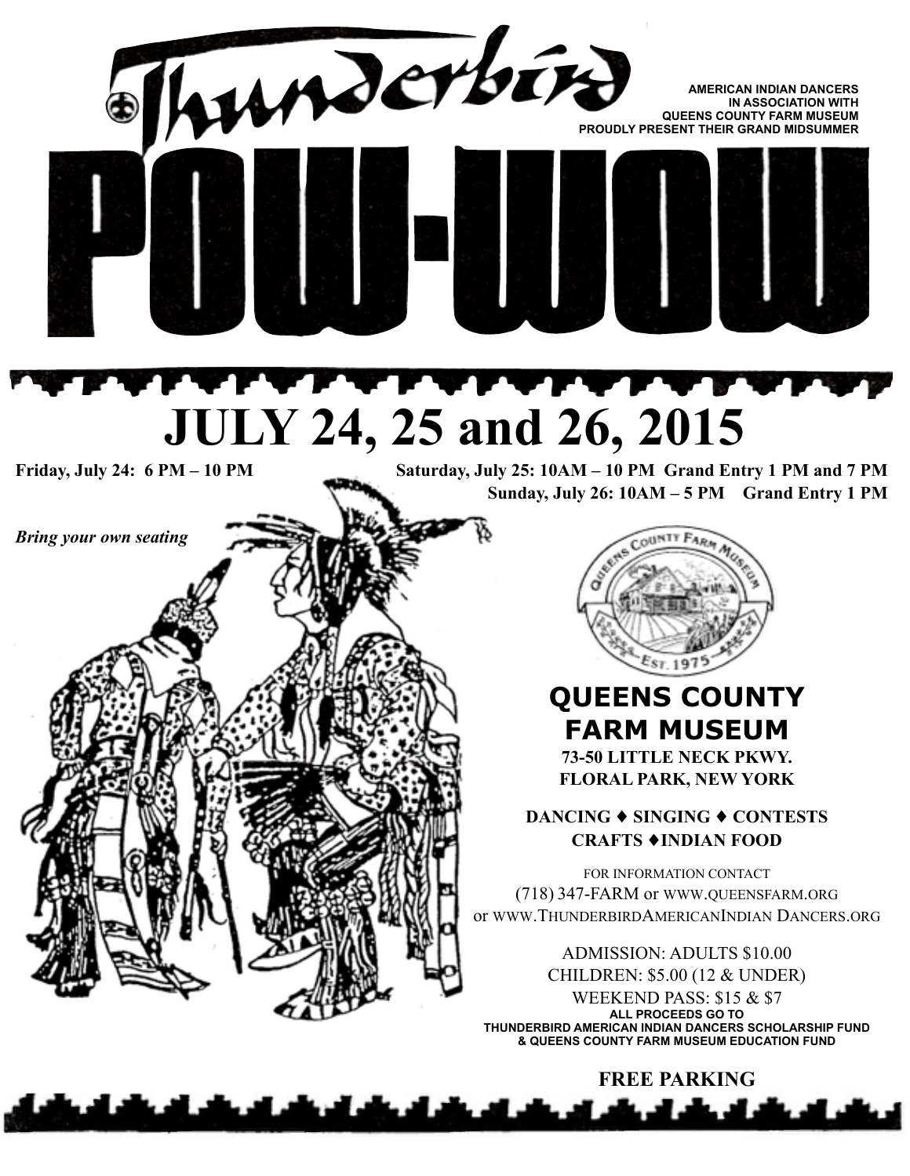